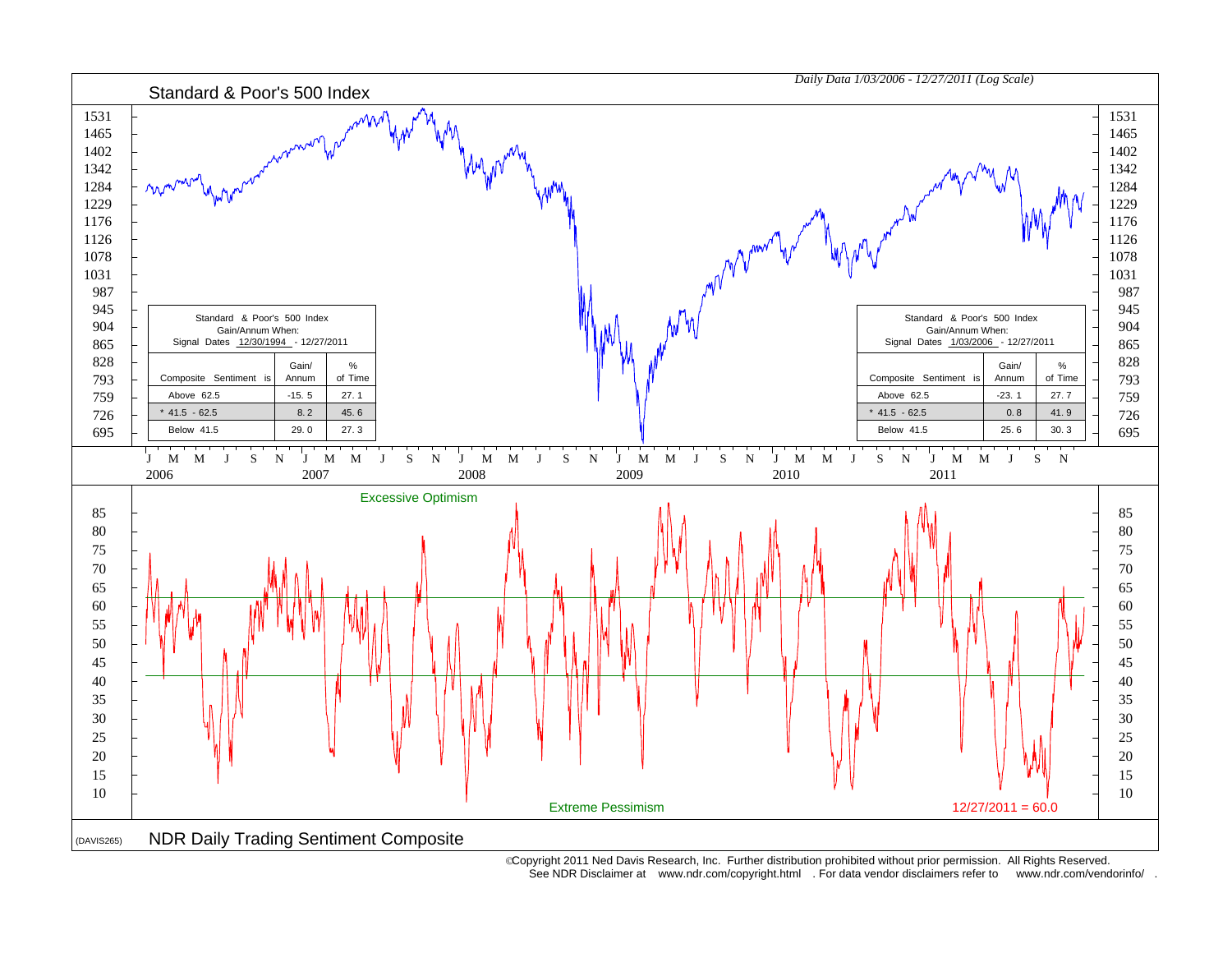

 Copyright 2011 Ned Davis Research, Inc. Further distribution prohibited without prior permission. All Rights Reserved. See NDR Disclaimer at www.ndr.com/copyright.html . For data vendor disclaimers refer to www.ndr.com/vendorinfo/ .